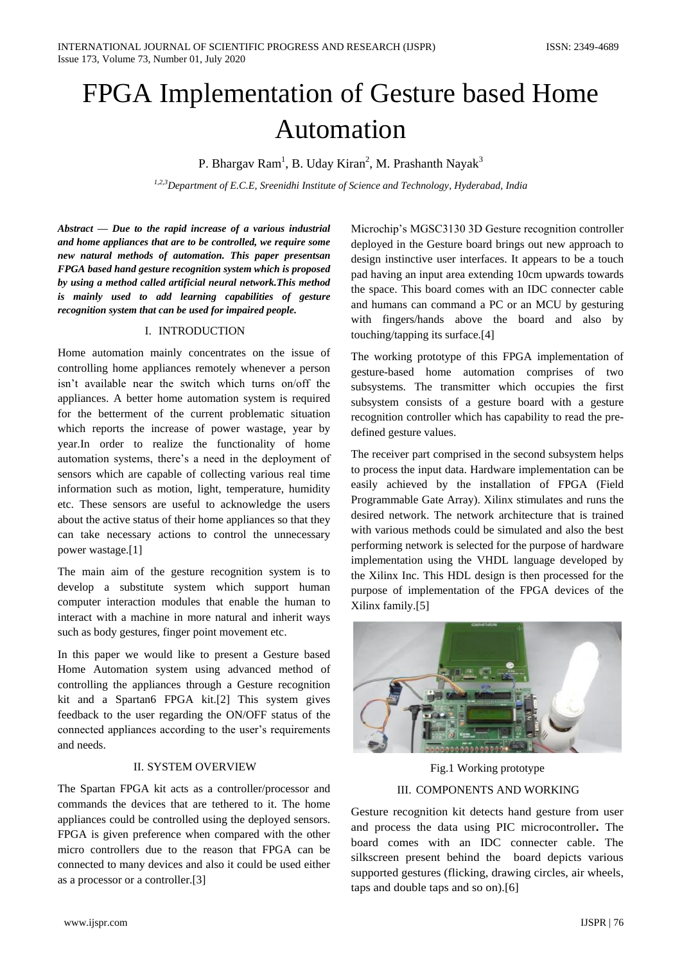# FPGA Implementation of Gesture based Home Automation

P. Bhargav Ram<sup>1</sup>, B. Uday Kiran<sup>2</sup>, M. Prashanth Nayak<sup>3</sup>

*1,2,3Department of E.C.E, Sreenidhi Institute of Science and Technology, Hyderabad, India*

*Abstract — Due to the rapid increase of a various industrial and home appliances that are to be controlled, we require some new natural methods of automation. This paper presentsan FPGA based hand gesture recognition system which is proposed by using a method called artificial neural network.This method is mainly used to add learning capabilities of gesture recognition system that can be used for impaired people.* 

## I. INTRODUCTION

Home automation mainly concentrates on the issue of controlling home appliances remotely whenever a person isn't available near the switch which turns on/off the appliances. A better home automation system is required for the betterment of the current problematic situation which reports the increase of power wastage, year by year.In order to realize the functionality of home automation systems, there's a need in the deployment of sensors which are capable of collecting various real time information such as motion, light, temperature, humidity etc. These sensors are useful to acknowledge the users about the active status of their home appliances so that they can take necessary actions to control the unnecessary power wastage.[1]

The main aim of the gesture recognition system is to develop a substitute system which support human computer interaction modules that enable the human to interact with a machine in more natural and inherit ways such as body gestures, finger point movement etc.

In this paper we would like to present a Gesture based Home Automation system using advanced method of controlling the appliances through a Gesture recognition kit and a Spartan6 FPGA kit.[2] This system gives feedback to the user regarding the ON/OFF status of the connected appliances according to the user's requirements and needs.

#### II. SYSTEM OVERVIEW

The Spartan FPGA kit acts as a controller/processor and commands the devices that are tethered to it. The home appliances could be controlled using the deployed sensors. FPGA is given preference when compared with the other micro controllers due to the reason that FPGA can be connected to many devices and also it could be used either as a processor or a controller.[3]

Microchip's MGSC3130 3D Gesture recognition controller deployed in the Gesture board brings out new approach to design instinctive user interfaces. It appears to be a touch pad having an input area extending 10cm upwards towards the space. This board comes with an IDC connecter cable and humans can command a PC or an MCU by gesturing with fingers/hands above the board and also by touching/tapping its surface.[4]

The working prototype of this FPGA implementation of gesture-based home automation comprises of two subsystems. The transmitter which occupies the first subsystem consists of a gesture board with a gesture recognition controller which has capability to read the predefined gesture values.

The receiver part comprised in the second subsystem helps to process the input data. Hardware implementation can be easily achieved by the installation of FPGA (Field Programmable Gate Array). Xilinx stimulates and runs the desired network. The network architecture that is trained with various methods could be simulated and also the best performing network is selected for the purpose of hardware implementation using the VHDL language developed by the Xilinx Inc. This HDL design is then processed for the purpose of implementation of the FPGA devices of the Xilinx family.[5]



Fig.1 Working prototype III. COMPONENTS AND WORKING

Gesture recognition kit detects hand gesture from user and process the data using PIC microcontroller**.** The board comes with an IDC connecter cable. The silkscreen present behind the board depicts various supported gestures (flicking, drawing circles, air wheels, taps and double taps and so on).[6]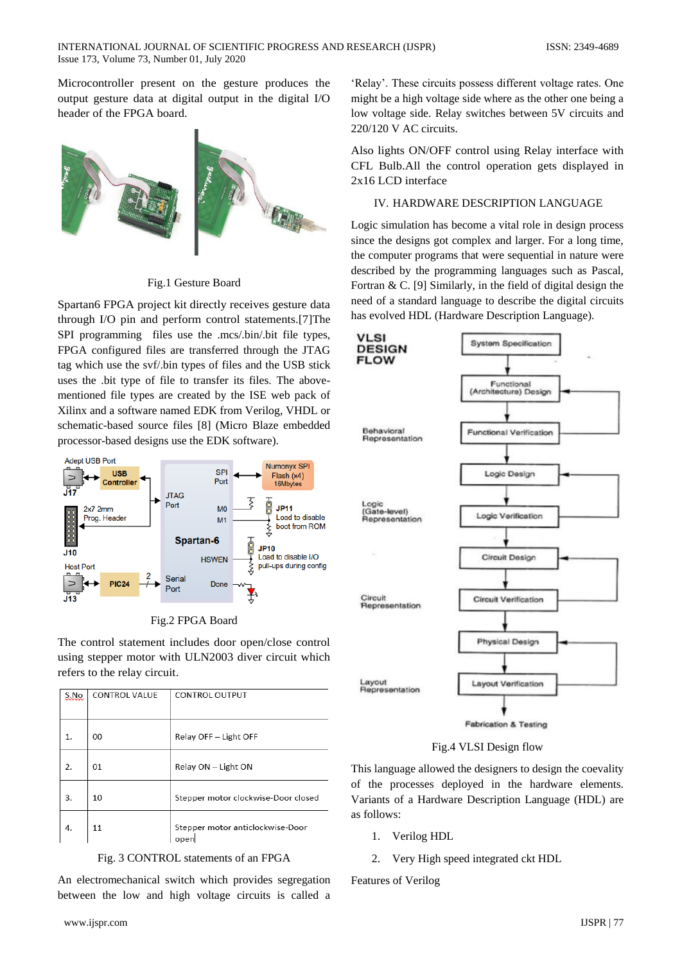Microcontroller present on the gesture produces the output gesture data at digital output in the digital I/O header of the FPGA board.



Fig.1 Gesture Board

Spartan6 FPGA project kit directly receives gesture data through I/O pin and perform control statements.[7]The SPI programming files use the .mcs/.bin/.bit file types, FPGA configured files are transferred through the JTAG tag which use the svf/.bin types of files and the USB stick uses the .bit type of file to transfer its files. The abovementioned file types are created by the ISE web pack of Xilinx and a software named EDK from Verilog, VHDL or schematic-based source files [8] (Micro Blaze embedded processor-based designs use the EDK software).



Fig.2 FPGA Board

The control statement includes door open/close control using stepper motor with ULN2003 diver circuit which refers to the relay circuit.

| <u>S.No</u> | <b>CONTROL VALUE</b> | <b>CONTROL OUTPUT</b>                    |
|-------------|----------------------|------------------------------------------|
| 1.          | 00                   | Relay OFF - Light OFF                    |
| 2.          | 01                   | Relay ON - Light ON                      |
| 3.          | 10                   | Stepper motor clockwise-Door closed      |
| 4.          | 11                   | Stepper motor anticlockwise-Door<br>oper |

Fig. 3 CONTROL statements of an FPGA

An electromechanical switch which provides segregation between the low and high voltage circuits is called a

‗Relay'. These circuits possess different voltage rates. One might be a high voltage side where as the other one being a low voltage side. Relay switches between 5V circuits and 220/120 V AC circuits.

Also lights ON/OFF control using Relay interface with CFL Bulb.All the control operation gets displayed in 2x16 LCD interface

#### IV. HARDWARE DESCRIPTION LANGUAGE

Logic simulation has become a vital role in design process since the designs got complex and larger. For a long time, the computer programs that were sequential in nature were described by the programming languages such as Pascal, Fortran  $\& C$ . [9] Similarly, in the field of digital design the need of a standard language to describe the digital circuits has evolved HDL (Hardware Description Language).



Fig.4 VLSI Design flow

This language allowed the designers to design the coevality of the processes deployed in the hardware elements. Variants of a Hardware Description Language (HDL) are as follows:

- 1. Verilog HDL
- 2. Very High speed integrated ckt HDL

Features of Verilog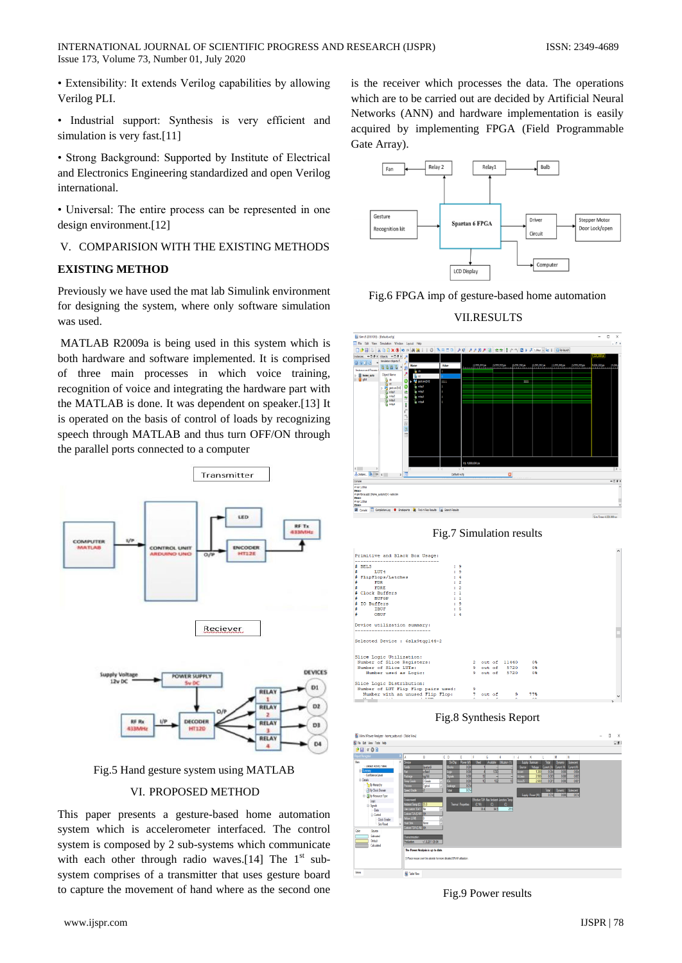• Extensibility: It extends Verilog capabilities by allowing Verilog PLI.

• Industrial support: Synthesis is very efficient and simulation is very fast.[11]

• Strong Background: Supported by Institute of Electrical and Electronics Engineering standardized and open Verilog international.

• Universal: The entire process can be represented in one design environment.[12]

V. COMPARISION WITH THE EXISTING METHODS

#### **EXISTING METHOD**

Previously we have used the mat lab Simulink environment for designing the system, where only software simulation was used.

MATLAB R2009a is being used in this system which is both hardware and software implemented. It is comprised of three main processes in which voice training, recognition of voice and integrating the hardware part with the MATLAB is done. It was dependent on speaker.[13] It is operated on the basis of control of loads by recognizing speech through MATLAB and thus turn OFF/ON through the parallel ports connected to a computer



Fig.5 Hand gesture system using MATLAB

### VI. PROPOSED METHOD

This paper presents a gesture-based home automation system which is accelerometer interfaced. The control system is composed by 2 sub-systems which communicate with each other through radio waves.[14] The  $1<sup>st</sup>$  subsystem comprises of a transmitter that uses gesture board to capture the movement of hand where as the second one

is the receiver which processes the data. The operations which are to be carried out are decided by Artificial Neural Networks (ANN) and hardware implementation is easily acquired by implementing FPGA (Field Programmable Gate Array).



Fig.6 FPGA imp of gesture-based home automation









Fig.8 Synthesis Report



Fig.9 Power results